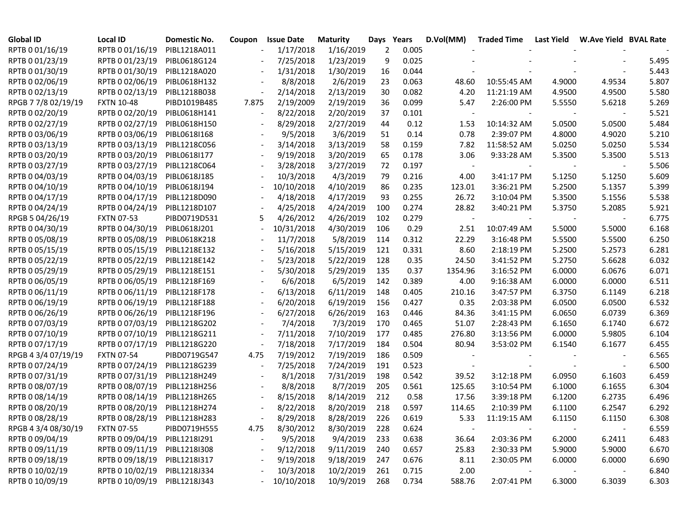| <b>Global ID</b>    | <b>Local ID</b>              | <b>Domestic No.</b> | Coupon | <b>Issue Date</b> | <b>Maturity</b> | Days | Years | D.Vol(MM)                | <b>Traded Time</b> | Last Yield | W.Ave Yield BVAL Rate |       |
|---------------------|------------------------------|---------------------|--------|-------------------|-----------------|------|-------|--------------------------|--------------------|------------|-----------------------|-------|
| RPTB 0 01/16/19     | RPTB 0 01/16/19              | PIBL1218A011        |        | 1/17/2018         | 1/16/2019       | 2    | 0.005 |                          |                    |            |                       |       |
| RPTB 0 01/23/19     | RPTB 0 01/23/19              | PIBL0618G124        |        | 7/25/2018         | 1/23/2019       | 9    | 0.025 |                          |                    |            |                       | 5.495 |
| RPTB 0 01/30/19     | RPTB 0 01/30/19              | PIBL1218A020        |        | 1/31/2018         | 1/30/2019       | 16   | 0.044 |                          |                    |            |                       | 5.443 |
| RPTB 0 02/06/19     | RPTB 0 02/06/19              | PIBL0618H132        |        | 8/8/2018          | 2/6/2019        | 23   | 0.063 | 48.60                    | 10:55:45 AM        | 4.9000     | 4.9534                | 5.807 |
| RPTB 0 02/13/19     | RPTB 0 02/13/19              | PIBL1218B038        |        | 2/14/2018         | 2/13/2019       | 30   | 0.082 | 4.20                     | 11:21:19 AM        | 4.9500     | 4.9500                | 5.580 |
| RPGB 7 7/8 02/19/19 | <b>FXTN 10-48</b>            | PIBD1019B485        | 7.875  | 2/19/2009         | 2/19/2019       | 36   | 0.099 | 5.47                     | 2:26:00 PM         | 5.5550     | 5.6218                | 5.269 |
| RPTB 0 02/20/19     | RPTB 0 02/20/19              | PIBL0618H141        |        | 8/22/2018         | 2/20/2019       | 37   | 0.101 | $\overline{\phantom{a}}$ |                    |            |                       | 5.521 |
| RPTB 0 02/27/19     | RPTB 0 02/27/19              | PIBL0618H150        |        | 8/29/2018         | 2/27/2019       | 44   | 0.12  | 1.53                     | 10:14:32 AM        | 5.0500     | 5.0500                | 5.484 |
| RPTB 0 03/06/19     | RPTB 0 03/06/19              | PIBL0618I168        |        | 9/5/2018          | 3/6/2019        | 51   | 0.14  | 0.78                     | 2:39:07 PM         | 4.8000     | 4.9020                | 5.210 |
| RPTB 0 03/13/19     | RPTB 0 03/13/19              | PIBL1218C056        |        | 3/14/2018         | 3/13/2019       | 58   | 0.159 | 7.82                     | 11:58:52 AM        | 5.0250     | 5.0250                | 5.534 |
| RPTB 0 03/20/19     | RPTB 0 03/20/19              | PIBL0618I177        |        | 9/19/2018         | 3/20/2019       | 65   | 0.178 | 3.06                     | 9:33:28 AM         | 5.3500     | 5.3500                | 5.513 |
| RPTB 0 03/27/19     | RPTB 0 03/27/19              | PIBL1218C064        |        | 3/28/2018         | 3/27/2019       | 72   | 0.197 | $\overline{\phantom{a}}$ |                    |            |                       | 5.506 |
| RPTB 0 04/03/19     | RPTB 0 04/03/19              | PIBL0618J185        |        | 10/3/2018         | 4/3/2019        | 79   | 0.216 | 4.00                     | 3:41:17 PM         | 5.1250     | 5.1250                | 5.609 |
| RPTB 0 04/10/19     | RPTB 0 04/10/19              | PIBL0618J194        |        | 10/10/2018        | 4/10/2019       | 86   | 0.235 | 123.01                   | 3:36:21 PM         | 5.2500     | 5.1357                | 5.399 |
| RPTB 0 04/17/19     | RPTB 0 04/17/19              | PIBL1218D090        |        | 4/18/2018         | 4/17/2019       | 93   | 0.255 | 26.72                    | 3:10:04 PM         | 5.3500     | 5.1556                | 5.538 |
| RPTB 0 04/24/19     | RPTB 0 04/24/19              | PIBL1218D107        |        | 4/25/2018         | 4/24/2019       | 100  | 0.274 | 28.82                    | 3:40:21 PM         | 5.3750     | 5.2085                | 5.921 |
| RPGB 5 04/26/19     | <b>FXTN 07-53</b>            | PIBD0719D531        | 5      | 4/26/2012         | 4/26/2019       | 102  | 0.279 | $\overline{\phantom{a}}$ |                    |            |                       | 6.775 |
| RPTB 0 04/30/19     | RPTB 0 04/30/19              | PIBL0618J201        |        | 10/31/2018        | 4/30/2019       | 106  | 0.29  | 2.51                     | 10:07:49 AM        | 5.5000     | 5.5000                | 6.168 |
| RPTB 0 05/08/19     | RPTB 0 05/08/19              | PIBL0618K218        |        | 11/7/2018         | 5/8/2019        | 114  | 0.312 | 22.29                    | 3:16:48 PM         | 5.5500     | 5.5500                | 6.250 |
| RPTB 0 05/15/19     | RPTB 0 05/15/19              | PIBL1218E132        |        | 5/16/2018         | 5/15/2019       | 121  | 0.331 | 8.60                     | 2:18:19 PM         | 5.2500     | 5.2573                | 6.281 |
| RPTB 0 05/22/19     | RPTB 0 05/22/19              | PIBL1218E142        |        | 5/23/2018         | 5/22/2019       | 128  | 0.35  | 24.50                    | 3:41:52 PM         | 5.2750     | 5.6628                | 6.032 |
| RPTB 0 05/29/19     | RPTB 0 05/29/19              | PIBL1218E151        |        | 5/30/2018         | 5/29/2019       | 135  | 0.37  | 1354.96                  | 3:16:52 PM         | 6.0000     | 6.0676                | 6.071 |
| RPTB 0 06/05/19     | RPTB 0 06/05/19              | PIBL1218F169        |        | 6/6/2018          | 6/5/2019        | 142  | 0.389 | 4.00                     | 9:16:38 AM         | 6.0000     | 6.0000                | 6.511 |
| RPTB 0 06/11/19     | RPTB 0 06/11/19              | PIBL1218F178        |        | 6/13/2018         | 6/11/2019       | 148  | 0.405 | 210.16                   | 3:47:57 PM         | 6.3750     | 6.1149                | 6.218 |
| RPTB 0 06/19/19     | RPTB 0 06/19/19              | PIBL1218F188        |        | 6/20/2018         | 6/19/2019       | 156  | 0.427 | 0.35                     | 2:03:38 PM         | 6.0500     | 6.0500                | 6.532 |
| RPTB 0 06/26/19     | RPTB 0 06/26/19              | PIBL1218F196        |        | 6/27/2018         | 6/26/2019       | 163  | 0.446 | 84.36                    | 3:41:15 PM         | 6.0650     | 6.0739                | 6.369 |
| RPTB 0 07/03/19     | RPTB 0 07/03/19              | PIBL1218G202        |        | 7/4/2018          | 7/3/2019        | 170  | 0.465 | 51.07                    | 2:28:43 PM         | 6.1650     | 6.1740                | 6.672 |
| RPTB 0 07/10/19     | RPTB 0 07/10/19              | PIBL1218G211        |        | 7/11/2018         | 7/10/2019       | 177  | 0.485 | 276.80                   | 3:13:56 PM         | 6.0000     | 5.9805                | 6.104 |
| RPTB 0 07/17/19     | RPTB 0 07/17/19              | PIBL1218G220        |        | 7/18/2018         | 7/17/2019       | 184  | 0.504 | 80.94                    | 3:53:02 PM         | 6.1540     | 6.1677                | 6.455 |
| RPGB 4 3/4 07/19/19 | <b>FXTN 07-54</b>            | PIBD0719G547        | 4.75   | 7/19/2012         | 7/19/2019       | 186  | 0.509 |                          |                    |            |                       | 6.565 |
| RPTB 0 07/24/19     | RPTB 0 07/24/19              | PIBL1218G239        |        | 7/25/2018         | 7/24/2019       | 191  | 0.523 |                          |                    |            |                       | 6.500 |
| RPTB 0 07/31/19     | RPTB 0 07/31/19              | PIBL1218H249        |        | 8/1/2018          | 7/31/2019       | 198  | 0.542 | 39.52                    | 3:12:18 PM         | 6.0950     | 6.1603                | 6.459 |
| RPTB 0 08/07/19     | RPTB 0 08/07/19              | PIBL1218H256        |        | 8/8/2018          | 8/7/2019        | 205  | 0.561 | 125.65                   | 3:10:54 PM         | 6.1000     | 6.1655                | 6.304 |
| RPTB 0 08/14/19     | RPTB 0 08/14/19              | PIBL1218H265        |        | 8/15/2018         | 8/14/2019       | 212  | 0.58  | 17.56                    | 3:39:18 PM         | 6.1200     | 6.2735                | 6.496 |
| RPTB 0 08/20/19     | RPTB 0 08/20/19              | PIBL1218H274        |        | 8/22/2018         | 8/20/2019       | 218  | 0.597 | 114.65                   | 2:10:39 PM         | 6.1100     | 6.2547                | 6.292 |
| RPTB 0 08/28/19     | RPTB 0 08/28/19 PIBL1218H283 |                     |        | 8/29/2018         | 8/28/2019       | 226  | 0.619 | 5.33                     | 11:19:15 AM        | 6.1150     | 6.1150                | 6.308 |
| RPGB 4 3/4 08/30/19 | <b>FXTN 07-55</b>            | PIBD0719H555        | 4.75   | 8/30/2012         | 8/30/2019       | 228  | 0.624 | $\overline{\phantom{a}}$ |                    |            |                       | 6.559 |
| RPTB 0 09/04/19     | RPTB 0 09/04/19              | PIBL1218I291        |        | 9/5/2018          | 9/4/2019        | 233  | 0.638 | 36.64                    | 2:03:36 PM         | 6.2000     | 6.2411                | 6.483 |
| RPTB 0 09/11/19     | RPTB 0 09/11/19              | PIBL1218I308        |        | 9/12/2018         | 9/11/2019       | 240  | 0.657 | 25.83                    | 2:30:33 PM         | 5.9000     | 5.9000                | 6.670 |
| RPTB 0 09/18/19     | RPTB 0 09/18/19              | PIBL1218I317        |        | 9/19/2018         | 9/18/2019       | 247  | 0.676 | 8.11                     | 2:30:05 PM         | 6.0000     | 6.0000                | 6.690 |
| RPTB 0 10/02/19     | RPTB 0 10/02/19              | PIBL1218J334        |        | 10/3/2018         | 10/2/2019       | 261  | 0.715 | 2.00                     |                    |            |                       | 6.840 |
| RPTB 0 10/09/19     | RPTB 0 10/09/19              | PIBL1218J343        |        | 10/10/2018        | 10/9/2019       | 268  | 0.734 | 588.76                   | 2:07:41 PM         | 6.3000     | 6.3039                | 6.303 |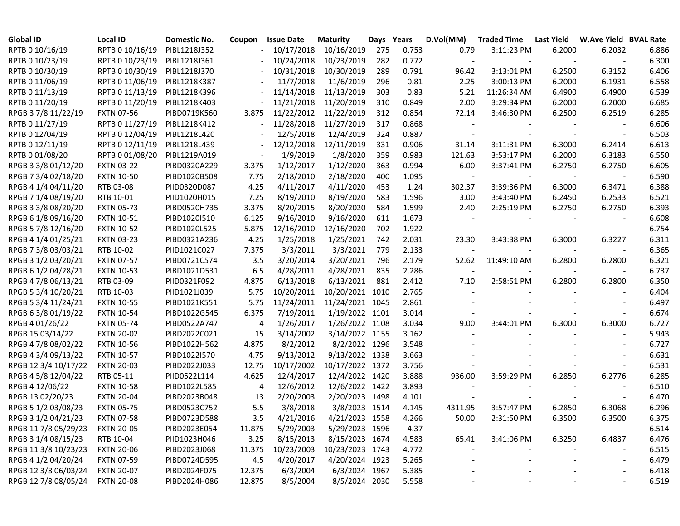| <b>Global ID</b>     | <b>Local ID</b>   | Domestic No. | Coupon | <b>Issue Date</b> | <b>Maturity</b> | Days | Years | D.Vol(MM)                | <b>Traded Time</b> | Last Yield | <b>W.Ave Yield BVAL Rate</b> |       |
|----------------------|-------------------|--------------|--------|-------------------|-----------------|------|-------|--------------------------|--------------------|------------|------------------------------|-------|
| RPTB 0 10/16/19      | RPTB 0 10/16/19   | PIBL1218J352 |        | 10/17/2018        | 10/16/2019      | 275  | 0.753 | 0.79                     | 3:11:23 PM         | 6.2000     | 6.2032                       | 6.886 |
| RPTB 0 10/23/19      | RPTB 0 10/23/19   | PIBL1218J361 |        | 10/24/2018        | 10/23/2019      | 282  | 0.772 | $\overline{\phantom{a}}$ |                    |            |                              | 6.300 |
| RPTB 0 10/30/19      | RPTB 0 10/30/19   | PIBL1218J370 |        | 10/31/2018        | 10/30/2019      | 289  | 0.791 | 96.42                    | 3:13:01 PM         | 6.2500     | 6.3152                       | 6.406 |
| RPTB 0 11/06/19      | RPTB 0 11/06/19   | PIBL1218K387 |        | 11/7/2018         | 11/6/2019       | 296  | 0.81  | 2.25                     | 3:00:13 PM         | 6.2000     | 6.1931                       | 6.558 |
| RPTB 0 11/13/19      | RPTB 0 11/13/19   | PIBL1218K396 |        | 11/14/2018        | 11/13/2019      | 303  | 0.83  | 5.21                     | 11:26:34 AM        | 6.4900     | 6.4900                       | 6.539 |
| RPTB 0 11/20/19      | RPTB 0 11/20/19   | PIBL1218K403 |        | 11/21/2018        | 11/20/2019      | 310  | 0.849 | 2.00                     | 3:29:34 PM         | 6.2000     | 6.2000                       | 6.685 |
| RPGB 37/8 11/22/19   | <b>FXTN 07-56</b> | PIBD0719K560 | 3.875  | 11/22/2012        | 11/22/2019      | 312  | 0.854 | 72.14                    | 3:46:30 PM         | 6.2500     | 6.2519                       | 6.285 |
| RPTB 0 11/27/19      | RPTB 0 11/27/19   | PIBL1218K412 |        | 11/28/2018        | 11/27/2019      | 317  | 0.868 |                          |                    |            |                              | 6.606 |
| RPTB 0 12/04/19      | RPTB 0 12/04/19   | PIBL1218L420 |        | 12/5/2018         | 12/4/2019       | 324  | 0.887 |                          |                    |            |                              | 6.503 |
| RPTB 0 12/11/19      | RPTB 0 12/11/19   | PIBL1218L439 |        | 12/12/2018        | 12/11/2019      | 331  | 0.906 | 31.14                    | 3:11:31 PM         | 6.3000     | 6.2414                       | 6.613 |
| RPTB 0 01/08/20      | RPTB 0 01/08/20   | PIBL1219A019 |        | 1/9/2019          | 1/8/2020        | 359  | 0.983 | 121.63                   | 3:53:17 PM         | 6.2000     | 6.3183                       | 6.550 |
| RPGB 3 3/8 01/12/20  | <b>FXTN 03-22</b> | PIBD0320A229 | 3.375  | 1/12/2017         | 1/12/2020       | 363  | 0.994 | 6.00                     | 3:37:41 PM         | 6.2750     | 6.2750                       | 6.605 |
| RPGB 7 3/4 02/18/20  | <b>FXTN 10-50</b> | PIBD1020B508 | 7.75   | 2/18/2010         | 2/18/2020       | 400  | 1.095 |                          |                    |            |                              | 6.590 |
| RPGB 4 1/4 04/11/20  | RTB 03-08         | PIID0320D087 | 4.25   | 4/11/2017         | 4/11/2020       | 453  | 1.24  | 302.37                   | 3:39:36 PM         | 6.3000     | 6.3471                       | 6.388 |
| RPGB 7 1/4 08/19/20  | RTB 10-01         | PIID1020H015 | 7.25   | 8/19/2010         | 8/19/2020       | 583  | 1.596 | 3.00                     | 3:43:40 PM         | 6.2450     | 6.2533                       | 6.521 |
| RPGB 3 3/8 08/20/20  | <b>FXTN 05-73</b> | PIBD0520H735 | 3.375  | 8/20/2015         | 8/20/2020       | 584  | 1.599 | 2.40                     | 2:25:19 PM         | 6.2750     | 6.2750                       | 6.393 |
| RPGB 6 1/8 09/16/20  | <b>FXTN 10-51</b> | PIBD1020I510 | 6.125  | 9/16/2010         | 9/16/2020       | 611  | 1.673 |                          |                    |            |                              | 6.608 |
| RPGB 5 7/8 12/16/20  | <b>FXTN 10-52</b> | PIBD1020L525 | 5.875  | 12/16/2010        | 12/16/2020      | 702  | 1.922 |                          |                    |            |                              | 6.754 |
| RPGB 4 1/4 01/25/21  | <b>FXTN 03-23</b> | PIBD0321A236 | 4.25   | 1/25/2018         | 1/25/2021       | 742  | 2.031 | 23.30                    | 3:43:38 PM         | 6.3000     | 6.3227                       | 6.311 |
| RPGB 7 3/8 03/03/21  | RTB 10-02         | PIID1021C027 | 7.375  | 3/3/2011          | 3/3/2021        | 779  | 2.133 |                          |                    |            |                              | 6.365 |
| RPGB 3 1/2 03/20/21  | <b>FXTN 07-57</b> | PIBD0721C574 | 3.5    | 3/20/2014         | 3/20/2021       | 796  | 2.179 | 52.62                    | 11:49:10 AM        | 6.2800     | 6.2800                       | 6.321 |
| RPGB 6 1/2 04/28/21  | <b>FXTN 10-53</b> | PIBD1021D531 | 6.5    | 4/28/2011         | 4/28/2021       | 835  | 2.286 |                          |                    |            |                              | 6.737 |
| RPGB 4 7/8 06/13/21  | RTB 03-09         | PIID0321F092 | 4.875  | 6/13/2018         | 6/13/2021       | 881  | 2.412 | 7.10                     | 2:58:51 PM         | 6.2800     | 6.2800                       | 6.350 |
| RPGB 5 3/4 10/20/21  | RTB 10-03         | PIID1021J039 | 5.75   | 10/20/2011        | 10/20/2021 1010 |      | 2.765 |                          |                    |            |                              | 6.404 |
| RPGB 5 3/4 11/24/21  | <b>FXTN 10-55</b> | PIBD1021K551 | 5.75   | 11/24/2011        | 11/24/2021 1045 |      | 2.861 |                          |                    |            |                              | 6.497 |
| RPGB 63/801/19/22    | <b>FXTN 10-54</b> | PIBD1022G545 | 6.375  | 7/19/2011         | 1/19/2022 1101  |      | 3.014 |                          |                    |            |                              | 6.674 |
| RPGB 4 01/26/22      | <b>FXTN 05-74</b> | PIBD0522A747 | 4      | 1/26/2017         | 1/26/2022 1108  |      | 3.034 | 9.00                     | 3:44:01 PM         | 6.3000     | 6.3000                       | 6.727 |
| RPGB 15 03/14/22     | <b>FXTN 20-02</b> | PIBD2022C021 | 15     | 3/14/2002         | 3/14/2022 1155  |      | 3.162 |                          |                    |            |                              | 5.943 |
| RPGB 4 7/8 08/02/22  | <b>FXTN 10-56</b> | PIBD1022H562 | 4.875  | 8/2/2012          | 8/2/2022 1296   |      | 3.548 |                          |                    |            |                              | 6.727 |
| RPGB 4 3/4 09/13/22  | <b>FXTN 10-57</b> | PIBD1022I570 | 4.75   | 9/13/2012         | 9/13/2022 1338  |      | 3.663 |                          |                    |            |                              | 6.631 |
| RPGB 12 3/4 10/17/22 | <b>FXTN 20-03</b> | PIBD2022J033 | 12.75  | 10/17/2002        | 10/17/2022 1372 |      | 3.756 |                          |                    |            |                              | 6.531 |
| RPGB 4 5/8 12/04/22  | RTB 05-11         | PIID0522L114 | 4.625  | 12/4/2017         | 12/4/2022 1420  |      | 3.888 | 936.00                   | 3:59:29 PM         | 6.2850     | 6.2776                       | 6.285 |
| RPGB 4 12/06/22      | <b>FXTN 10-58</b> | PIBD1022L585 | 4      | 12/6/2012         | 12/6/2022 1422  |      | 3.893 |                          |                    |            |                              | 6.510 |
| RPGB 13 02/20/23     | <b>FXTN 20-04</b> | PIBD2023B048 | 13     | 2/20/2003         | 2/20/2023 1498  |      | 4.101 |                          |                    |            |                              | 6.470 |
| RPGB 5 1/2 03/08/23  | <b>FXTN 05-75</b> | PIBD0523C752 | 5.5    | 3/8/2018          | 3/8/2023 1514   |      | 4.145 | 4311.95                  | 3:57:47 PM         | 6.2850     | 6.3068                       | 6.296 |
| RPGB 3 1/2 04/21/23  | <b>FXTN 07-58</b> | PIBD0723D588 | 3.5    | 4/21/2016         | 4/21/2023 1558  |      | 4.266 | 50.00                    | 2:31:50 PM         | 6.3500     | 6.3500                       | 6.375 |
| RPGB 11 7/8 05/29/23 | <b>FXTN 20-05</b> | PIBD2023E054 | 11.875 | 5/29/2003         | 5/29/2023 1596  |      | 4.37  |                          |                    |            |                              | 6.514 |
| RPGB 3 1/4 08/15/23  | RTB 10-04         | PIID1023H046 | 3.25   | 8/15/2013         | 8/15/2023 1674  |      | 4.583 | 65.41                    | 3:41:06 PM         | 6.3250     | 6.4837                       | 6.476 |
| RPGB 11 3/8 10/23/23 | <b>FXTN 20-06</b> | PIBD2023J068 | 11.375 | 10/23/2003        | 10/23/2023 1743 |      | 4.772 |                          |                    |            | $\overline{\phantom{a}}$     | 6.515 |
| RPGB 4 1/2 04/20/24  | <b>FXTN 07-59</b> | PIBD0724D595 | 4.5    | 4/20/2017         | 4/20/2024 1923  |      | 5.265 |                          |                    |            | $\overline{\phantom{a}}$     | 6.479 |
| RPGB 12 3/8 06/03/24 | <b>FXTN 20-07</b> | PIBD2024F075 | 12.375 | 6/3/2004          | 6/3/2024 1967   |      | 5.385 |                          |                    |            |                              | 6.418 |
| RPGB 12 7/8 08/05/24 | <b>FXTN 20-08</b> | PIBD2024H086 | 12.875 | 8/5/2004          | 8/5/2024 2030   |      | 5.558 |                          |                    |            |                              | 6.519 |